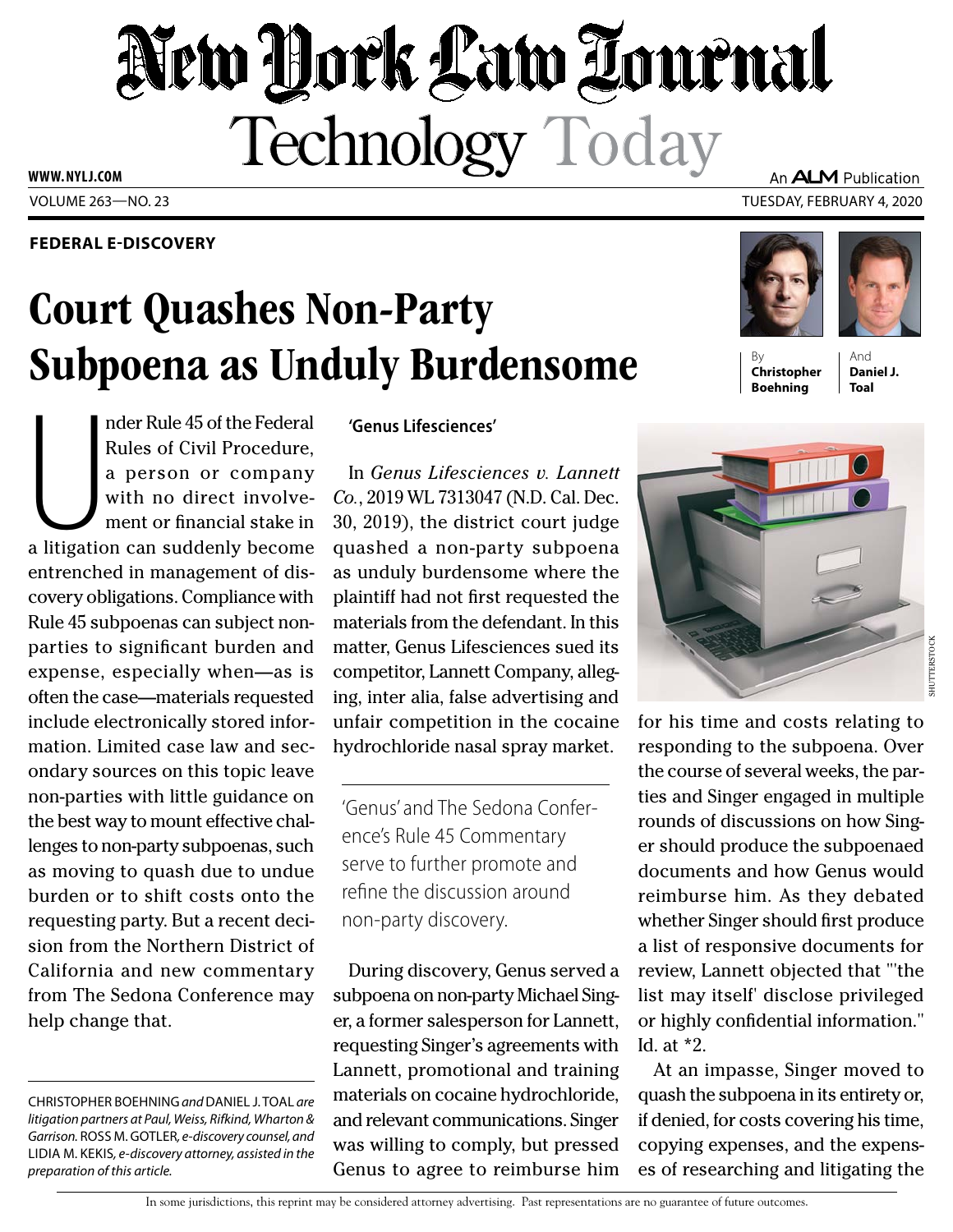# New York Law Tournal Technology Today An ALM Publication

VOLUME 263—NO. 23 TUESDAY, FEBRUARY 4, 2020 **WWW. NYLJ.COM**

## **FEDERAL E-DISCOVERY**

# Court Quashes Non-Party Subpoena as Unduly Burdensome



**Christopher Boehning**

And **Daniel J. Toal**

nder Rule 45 of the Federal<br>Rules of Civil Procedure,<br>a person or company<br>with no direct involvement or financial stake in<br>a litigation can suddenly become nder Rule 45 of the Federal Rules of Civil Procedure, a person or company with no direct involvement or financial stake in entrenched in management of discovery obligations. Compliance with Rule 45 subpoenas can subject nonparties to significant burden and expense, especially when—as is often the case—materials requested include electronically stored information. Limited case law and secondary sources on this topic leave non-parties with little guidance on the best way to mount effective challenges to non-party subpoenas, such as moving to quash due to undue burden or to shift costs onto the requesting party. But a recent decision from the Northern District of California and new commentary from The Sedona Conference may help change that.

### **'Genus Lifesciences'**

In *Genus Lifesciences v. Lannett Co.*, 2019 WL 7313047 (N.D. Cal. Dec. 30, 2019), the district court judge quashed a non-party subpoena as unduly burdensome where the plaintiff had not first requested the materials from the defendant. In this matter, Genus Lifesciences sued its competitor, Lannett Company, alleging, inter alia, false advertising and unfair competition in the cocaine hydrochloride nasal spray market.

'Genus' and The Sedona Conference's Rule 45 Commentary serve to further promote and refine the discussion around non-party discovery.

During discovery, Genus served a subpoena on non-party Michael Singer, a former salesperson for Lannett, requesting Singer's agreements with Lannett, promotional and training materials on cocaine hydrochloride, and relevant communications. Singer was willing to comply, but pressed Genus to agree to reimburse him



for his time and costs relating to responding to the subpoena. Over the course of several weeks, the parties and Singer engaged in multiple rounds of discussions on how Singer should produce the subpoenaed documents and how Genus would reimburse him. As they debated whether Singer should first produce a list of responsive documents for review, Lannett objected that "'the list may itself' disclose privileged or highly confidential information." Id. at \*2.

At an impasse, Singer moved to quash the subpoena in its entirety or, if denied, for costs covering his time, copying expenses, and the expenses of researching and litigating the

In some jurisdictions, this reprint may be considered attorney advertising. Past representations are no guarantee of future outcomes.

CHRISTOPHER BOEHNING *and* DANIEL J. TOAL *are litigation partners at Paul, Weiss, Rifkind, Wharton & Garrison.* ROSS M. GOTLER*, e-discovery counsel, and*  LIDIA M. KEKIS*, e-discovery attorney, assisted in the preparation of this article.*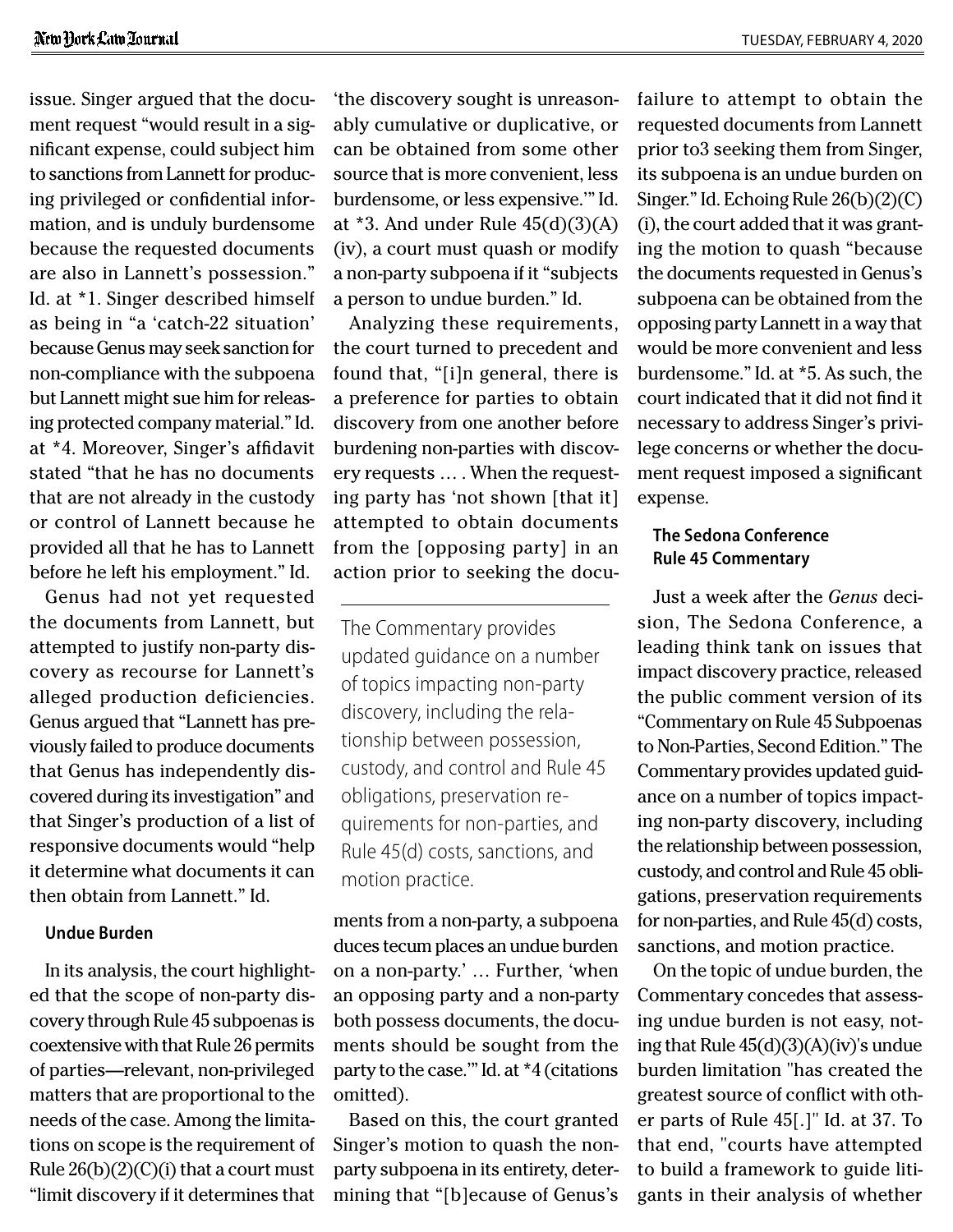issue. Singer argued that the document request "would result in a significant expense, could subject him to sanctions from Lannett for producing privileged or confidential information, and is unduly burdensome because the requested documents are also in Lannett's possession." Id. at \*1. Singer described himself as being in "a 'catch-22 situation' because Genus may seek sanction for non-compliance with the subpoena but Lannett might sue him for releasing protected company material." Id. at \*4. Moreover, Singer's affidavit stated "that he has no documents that are not already in the custody or control of Lannett because he provided all that he has to Lannett before he left his employment." Id.

Genus had not yet requested the documents from Lannett, but attempted to justify non-party discovery as recourse for Lannett's alleged production deficiencies. Genus argued that "Lannett has previously failed to produce documents that Genus has independently discovered during its investigation" and that Singer's production of a list of responsive documents would "help it determine what documents it can then obtain from Lannett." Id.

#### **Undue Burden**

In its analysis, the court highlighted that the scope of non-party discovery through Rule 45 subpoenas is coextensive with that Rule 26 permits of parties—relevant, non-privileged matters that are proportional to the needs of the case. Among the limitations on scope is the requirement of Rule  $26(b)(2)(C)(i)$  that a court must "limit discovery if it determines that

'the discovery sought is unreasonably cumulative or duplicative, or can be obtained from some other source that is more convenient, less burdensome, or less expensive.'" Id. at  $*3$ . And under Rule  $45(d)(3)(A)$ (iv), a court must quash or modify a non-party subpoena if it "subjects a person to undue burden." Id.

Analyzing these requirements, the court turned to precedent and found that, "[i]n general, there is a preference for parties to obtain discovery from one another before burdening non-parties with discovery requests … . When the requesting party has 'not shown [that it] attempted to obtain documents from the [opposing party] in an action prior to seeking the docu-

The Commentary provides updated guidance on a number of topics impacting non-party discovery, including the relationship between possession, custody, and control and Rule 45 obligations, preservation requirements for non-parties, and Rule 45(d) costs, sanctions, and motion practice.

ments from a non-party, a subpoena duces tecum places an undue burden on a non-party.' … Further, 'when an opposing party and a non-party both possess documents, the documents should be sought from the party to the case.'" Id. at \*4 (citations omitted).

Based on this, the court granted Singer's motion to quash the nonparty subpoena in its entirety, determining that "[b]ecause of Genus's

failure to attempt to obtain the requested documents from Lannett prior to3 seeking them from Singer, its subpoena is an undue burden on Singer." Id. Echoing Rule 26(b)(2)(C) (i), the court added that it was granting the motion to quash "because the documents requested in Genus's subpoena can be obtained from the opposing party Lannett in a way that would be more convenient and less burdensome." Id. at \*5. As such, the court indicated that it did not find it necessary to address Singer's privilege concerns or whether the document request imposed a significant expense.

## **The Sedona Conference Rule 45 Commentary**

Just a week after the *Genus* decision, The Sedona Conference, a leading think tank on issues that impact discovery practice, released the public comment version of its "Commentary on Rule 45 Subpoenas to Non-Parties, Second Edition." The Commentary provides updated guidance on a number of topics impacting non-party discovery, including the relationship between possession, custody, and control and Rule 45 obligations, preservation requirements for non-parties, and Rule 45(d) costs, sanctions, and motion practice.

On the topic of undue burden, the Commentary concedes that assessing undue burden is not easy, noting that Rule 45(d)(3)(A)(iv)'s undue burden limitation "has created the greatest source of conflict with other parts of Rule 45[.]" Id. at 37. To that end, "courts have attempted to build a framework to guide litigants in their analysis of whether